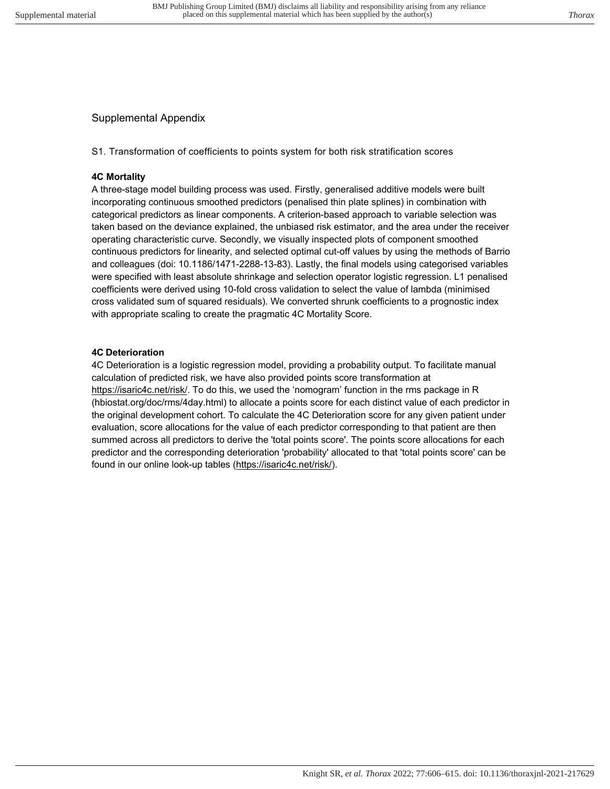# Supplemental Appendix

S1. Transformation of coefficients to points system for both risk stratification scores

### **4C Mortality**

A three-stage model building process was used. Firstly, generalised additive models were built incorporating continuous smoothed predictors (penalised thin plate splines) in combination with categorical predictors as linear components. A criterion-based approach to variable selection was taken based on the deviance explained, the unbiased risk estimator, and the area under the receiver operating characteristic curve. Secondly, we visually inspected plots of component smoothed continuous predictors for linearity, and selected optimal cut-off values by using the methods of Barrio and colleagues (doi: 10.1186/1471-2288-13-83). Lastly, the final models using categorised variables were specified with least absolute shrinkage and selection operator logistic regression. L1 penalised coefficients were derived using 10-fold cross validation to select the value of lambda (minimised cross validated sum of squared residuals). We converted shrunk coefficients to a prognostic index with appropriate scaling to create the pragmatic 4C Mortality Score.

### **4C Deterioration**

4C Deterioration is a logistic regression model, providing a probability output. To facilitate manual calculation of predicted risk, we have also provided points score transformation at https://isaric4c.net/risk/. To do this, we used the 'nomogram' function in the rms package in R (hbiostat.org/doc/rms/4day.html) to allocate a points score for each distinct value of each predictor in the original development cohort. To calculate the 4C Deterioration score for any given patient under evaluation, score allocations for the value of each predictor corresponding to that patient are then summed across all predictors to derive the 'total points score'. The points score allocations for each predictor and the corresponding deterioration 'probability' allocated to that 'total points score' can be found in our online look-up tables (https://isaric4c.net/risk/).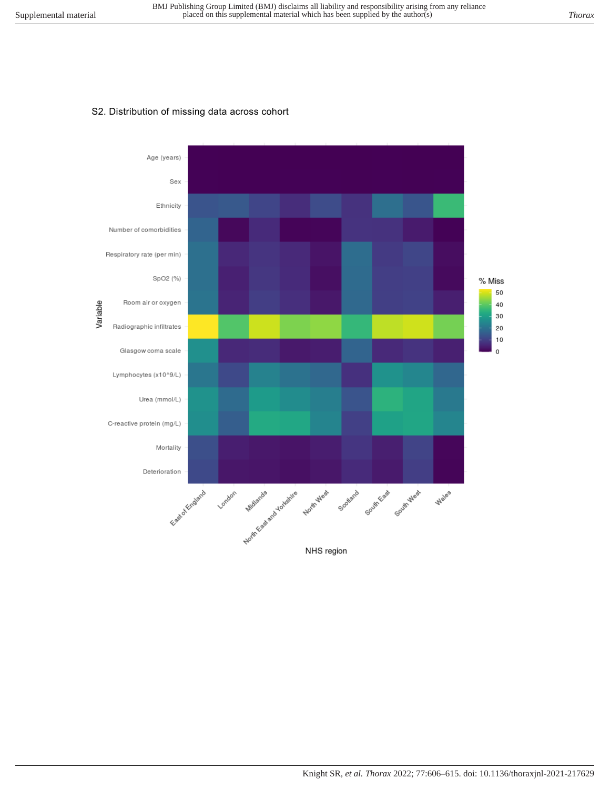#### S2. Distribution of missing data across cohort

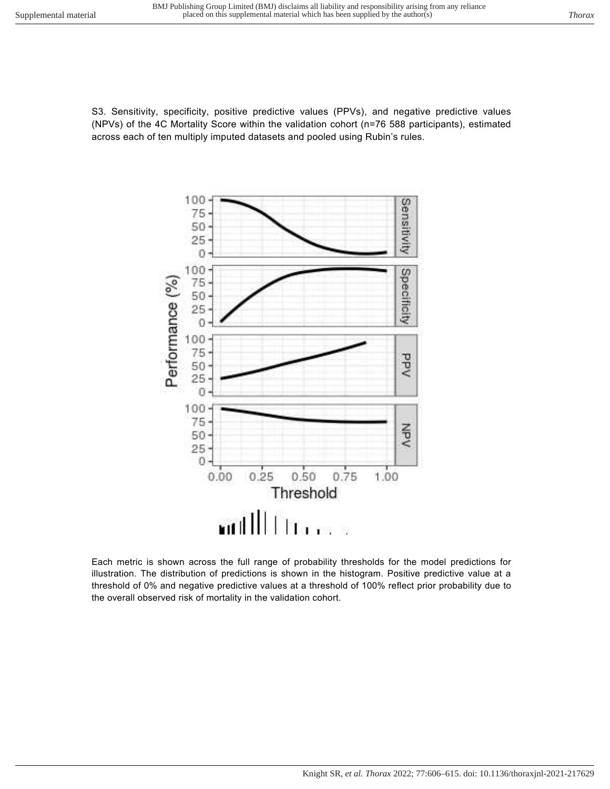S3. Sensitivity, specificity, positive predictive values (PPVs), and negative predictive values (NPVs) of the 4C Mortality Score within the validation cohort (n=76 588 participants), estimated across each of ten multiply imputed datasets and pooled using Rubin's rules.



Each metric is shown across the full range of probability thresholds for the model predictions for illustration. The distribution of predictions is shown in the histogram. Positive predictive value at a threshold of 0% and negative predictive values at a threshold of 100% reflect prior probability due to the overall observed risk of mortality in the validation cohort.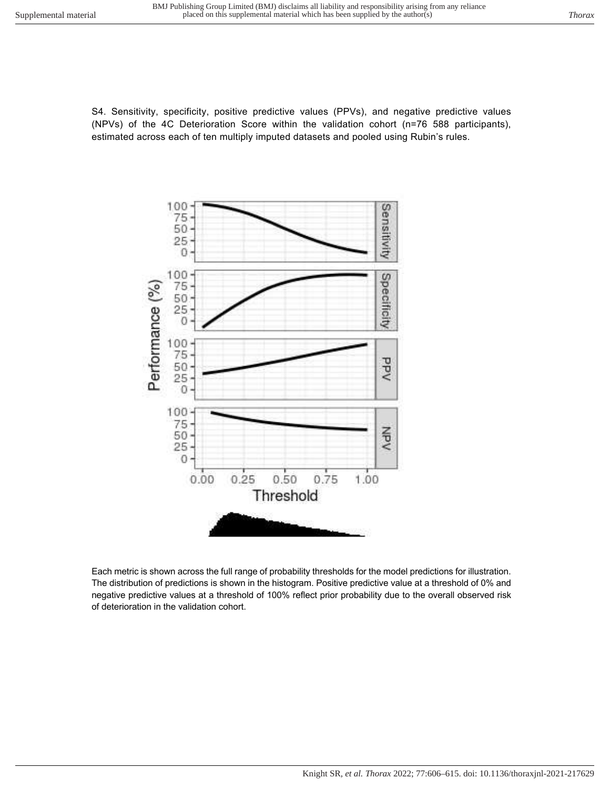S4. Sensitivity, specificity, positive predictive values (PPVs), and negative predictive values (NPVs) of the 4C Deterioration Score within the validation cohort (n=76 588 participants), estimated across each of ten multiply imputed datasets and pooled using Rubin's rules.



Each metric is shown across the full range of probability thresholds for the model predictions for illustration. The distribution of predictions is shown in the histogram. Positive predictive value at a threshold of 0% and negative predictive values at a threshold of 100% reflect prior probability due to the overall observed risk of deterioration in the validation cohort.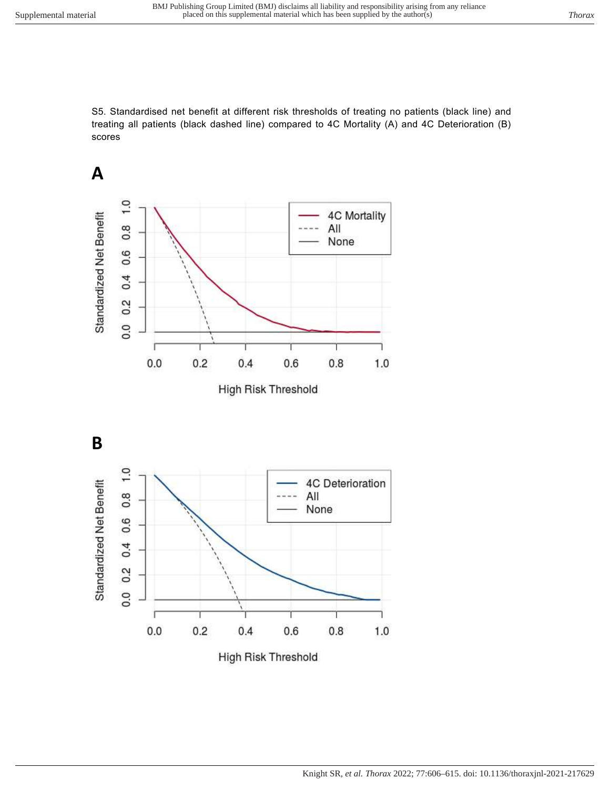S5. Standardised net benefit at different risk thresholds of treating no patients (black line) and treating all patients (black dashed line) compared to 4C Mortality (A) and 4C Deterioration (B) scores



High Risk Threshold

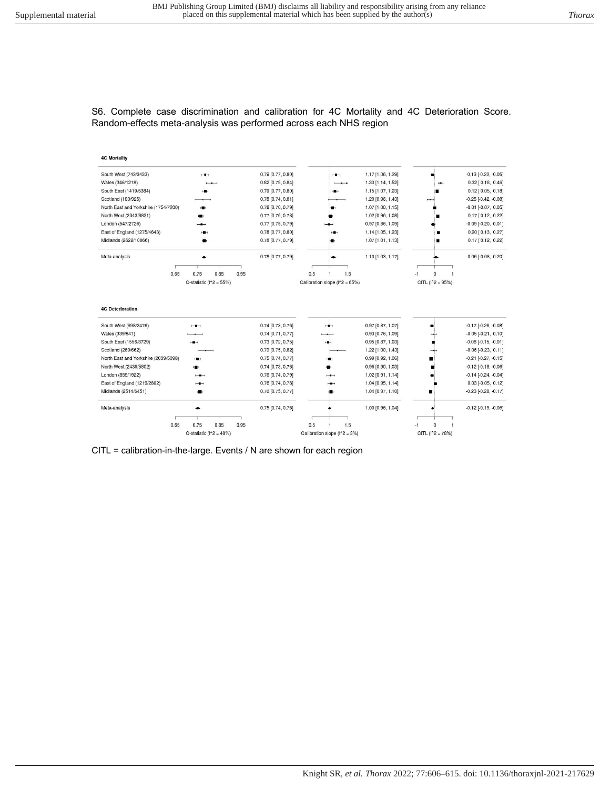#### S6. Complete case discrimination and calibration for 4C Mortality and 4C Deterioration Score. Random-effects meta-analysis was performed across each NHS region



CITL = calibration-in-the-large. Events / N are shown for each region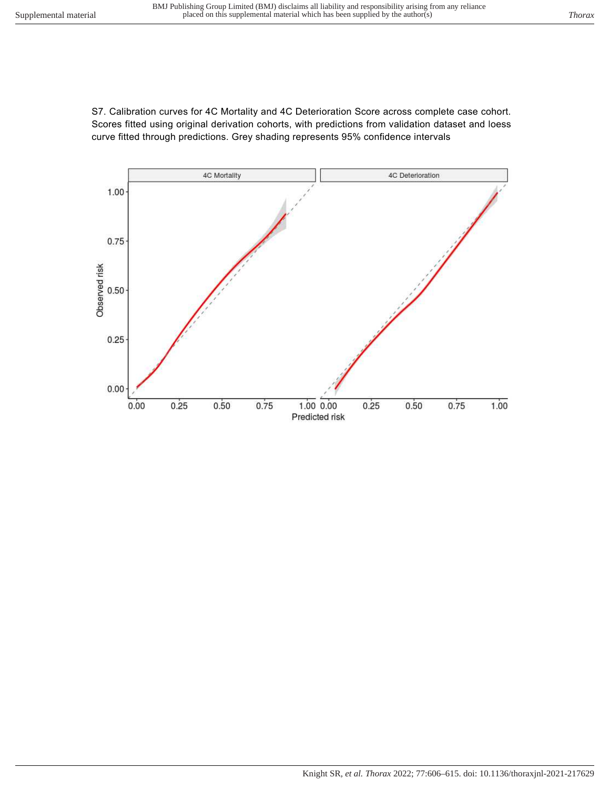S7. Calibration curves for 4C Mortality and 4C Deterioration Score across complete case cohort. Scores fitted using original derivation cohorts, with predictions from validation dataset and loess curve fitted through predictions. Grey shading represents 95% confidence intervals

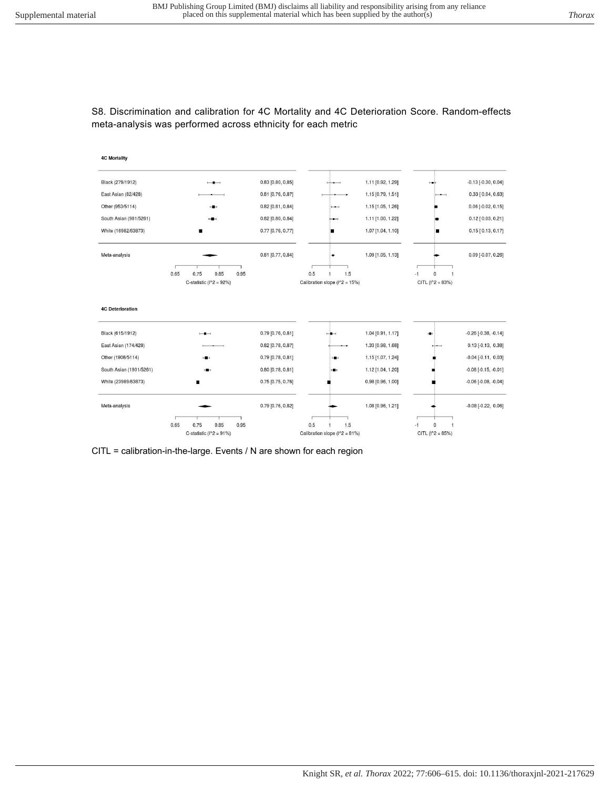# S8. Discrimination and calibration for 4C Mortality and 4C Deterioration Score. Random-effects meta-analysis was performed across ethnicity for each metric



CITL = calibration-in-the-large. Events / N are shown for each region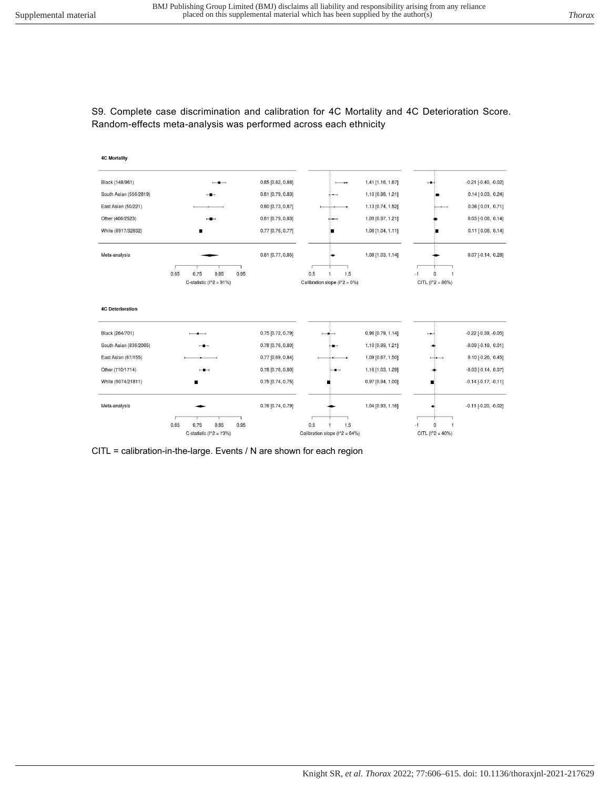### S9. Complete case discrimination and calibration for 4C Mortality and 4C Deterioration Score. Random-effects meta-analysis was performed across each ethnicity



CITL = calibration-in-the-large. Events / N are shown for each region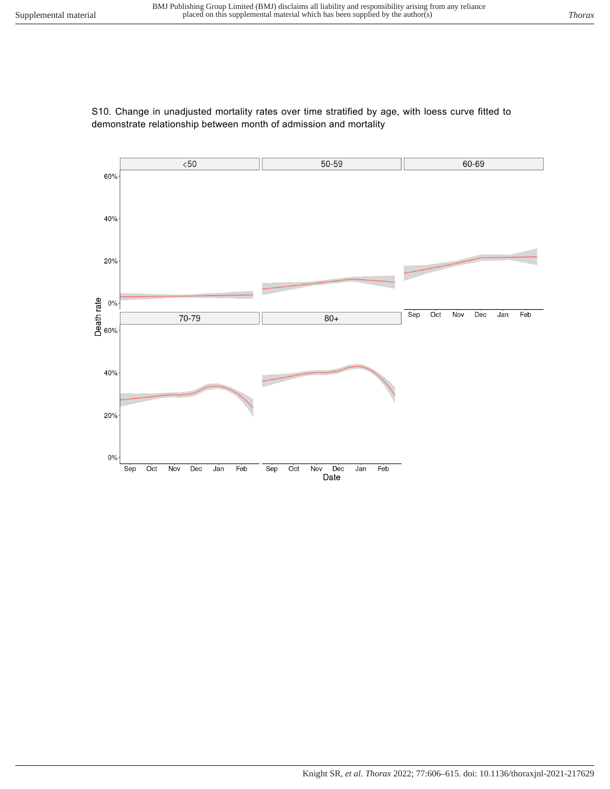# S10. Change in unadjusted mortality rates over time stratified by age, with loess curve fitted to demonstrate relationship between month of admission and mortality

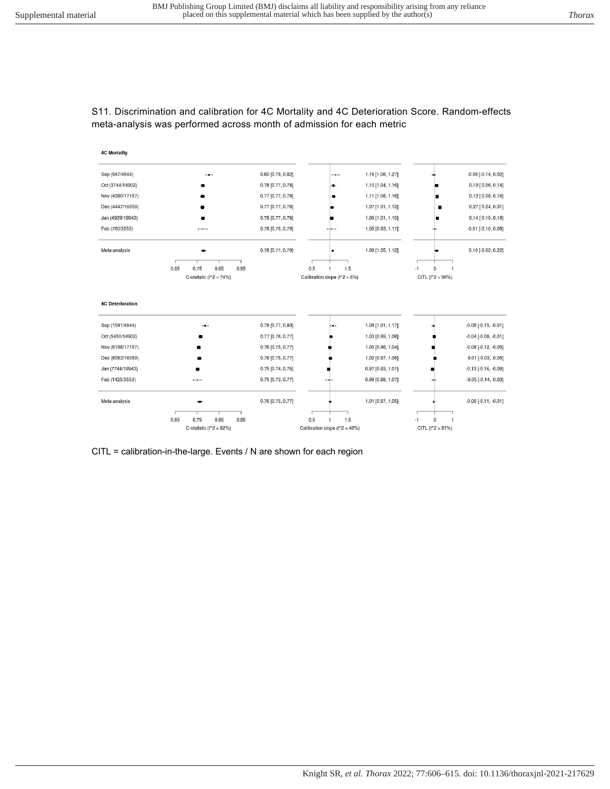### S11. Discrimination and calibration for 4C Mortality and 4C Deterioration Score. Random-effects meta-analysis was performed across month of admission for each metric



CITL = calibration-in-the-large. Events / N are shown for each region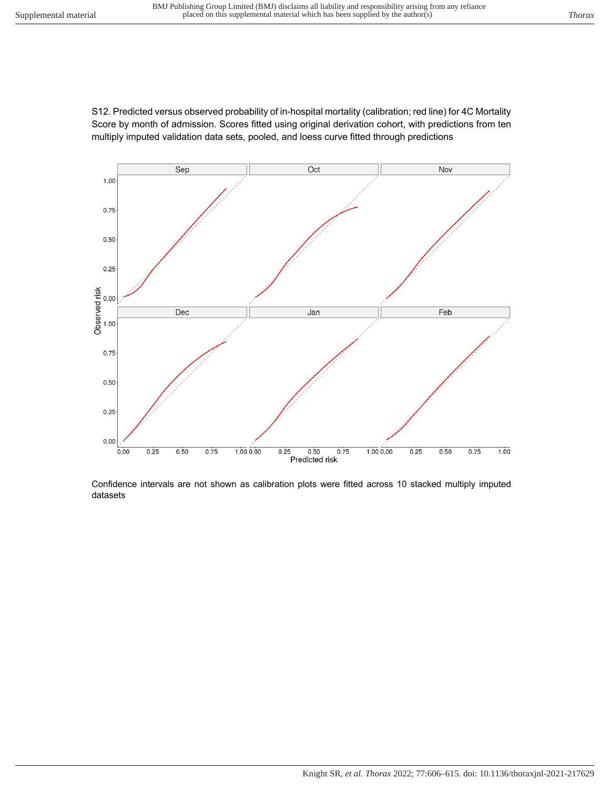



Confidence intervals are not shown as calibration plots were fitted across 10 stacked multiply imputed datasets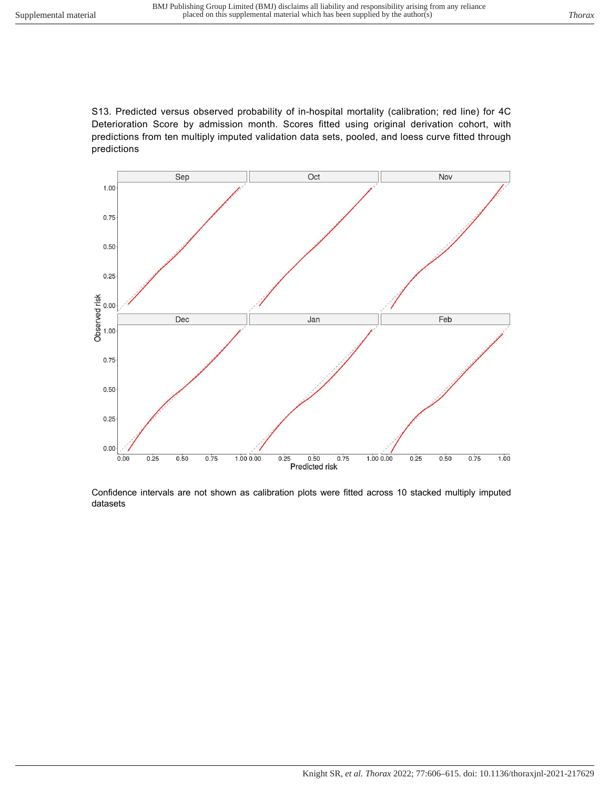S13. Predicted versus observed probability of in-hospital mortality (calibration; red line) for 4C Deterioration Score by admission month. Scores fitted using original derivation cohort, with predictions from ten multiply imputed validation data sets, pooled, and loess curve fitted through predictions



Confidence intervals are not shown as calibration plots were fitted across 10 stacked multiply imputed datasets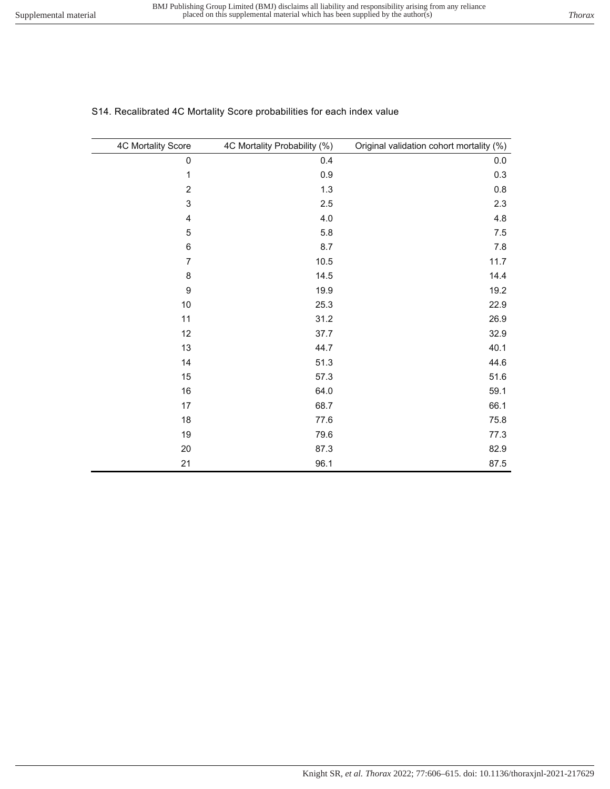| S14. Recalibrated 4C Mortality Score probabilities for each index value |  |  |  |
|-------------------------------------------------------------------------|--|--|--|
|                                                                         |  |  |  |
|                                                                         |  |  |  |

| 4C Mortality Score | 4C Mortality Probability (%) | Original validation cohort mortality (%) |
|--------------------|------------------------------|------------------------------------------|
| $\mathbf 0$        | 0.4                          | 0.0                                      |
| $\mathbf 1$        | 0.9                          | 0.3                                      |
| $\overline{2}$     | 1.3                          | 0.8                                      |
| $\sqrt{3}$         | 2.5                          | 2.3                                      |
| $\pmb{4}$          | 4.0                          | 4.8                                      |
| 5                  | 5.8                          | $7.5\,$                                  |
| $\,6$              | 8.7                          | 7.8                                      |
| $\overline{7}$     | 10.5                         | 11.7                                     |
| $\,8\,$            | 14.5                         | 14.4                                     |
| $\boldsymbol{9}$   | 19.9                         | 19.2                                     |
| $10$               | 25.3                         | 22.9                                     |
| 11                 | 31.2                         | 26.9                                     |
| 12                 | 37.7                         | 32.9                                     |
| 13                 | 44.7                         | 40.1                                     |
| 14                 | 51.3                         | 44.6                                     |
| 15                 | 57.3                         | 51.6                                     |
| 16                 | 64.0                         | 59.1                                     |
| 17                 | 68.7                         | 66.1                                     |
| 18                 | 77.6                         | 75.8                                     |
| 19                 | 79.6                         | 77.3                                     |
| 20                 | 87.3                         | 82.9                                     |
| 21                 | 96.1                         | 87.5                                     |